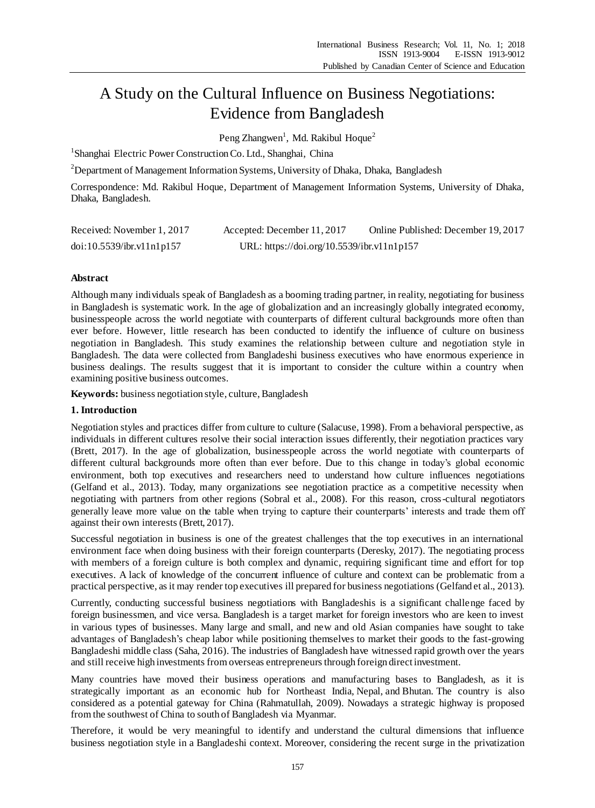## A Study on the Cultural Influence on Business Negotiations: Evidence from Bangladesh

Peng Zhangwen<sup>1</sup>, Md. Rakibul Hoque<sup>2</sup>

<sup>1</sup> Shanghai Electric Power Construction Co. Ltd., Shanghai, China

<sup>2</sup>Department of Management Information Systems, University of Dhaka, Dhaka, Bangladesh

Correspondence: Md. Rakibul Hoque, Department of Management Information Systems, University of Dhaka, Dhaka, Bangladesh.

| Received: November 1, 2017 | Accepted: December 11, 2017                | Online Published: December 19, 2017 |
|----------------------------|--------------------------------------------|-------------------------------------|
| doi:10.5539/ibr.v11nlp157  | URL: https://doi.org/10.5539/ibr.v11n1p157 |                                     |

#### **Abstract**

Although many individuals speak of Bangladesh as a booming trading partner, in reality, negotiating for business in Bangladesh is systematic work. In the age of globalization and an increasingly globally integrated economy, businesspeople across the world negotiate with counterparts of different cultural backgrounds more often than ever before. However, little research has been conducted to identify the influence of culture on business negotiation in Bangladesh. This study examines the relationship between culture and negotiation style in Bangladesh. The data were collected from Bangladeshi business executives who have enormous experience in business dealings. The results suggest that it is important to consider the culture within a country when examining positive business outcomes.

**Keywords:** business negotiation style, culture, Bangladesh

#### **1. Introduction**

Negotiation styles and practices differ from culture to culture (Salacuse, 1998). From a behavioral perspective, as individuals in different cultures resolve their social interaction issues differently, their negotiation practices vary (Brett, 2017). In the age of globalization, businesspeople across the world negotiate with counterparts of different cultural backgrounds more often than ever before. Due to this change in today's global economic environment, both top executives and researchers need to understand how culture influences negotiations (Gelfand et al., 2013). Today, many organizations see negotiation practice as a competitive necessity when negotiating with partners from other regions (Sobral et al., 2008). For this reason, cross-cultural negotiators generally leave more value on the table when trying to capture their counterparts' interests and trade them off against their own interests (Brett, 2017).

Successful negotiation in business is one of the greatest challenges that the top executives in an international environment face when doing business with their foreign counterparts (Deresky, 2017). The negotiating process with members of a foreign culture is both complex and dynamic, requiring significant time and effort for top executives. A lack of knowledge of the concurrent influence of culture and context can be problematic from a practical perspective, as it may render top executives ill prepared for business negotiations (Gelfand et al., 2013).

Currently, conducting successful business negotiations with Bangladeshis is a significant challenge faced by foreign businessmen, and vice versa. Bangladesh is a target market for foreign investors who are keen to invest in various types of businesses. Many large and small, and new and old Asian companies have sought to take advantages of Bangladesh's cheap labor while positioning themselves to market their goods to the fast-growing Bangladeshi middle class (Saha, 2016). The industries of Bangladesh have witnessed rapid growth over the years and still receive high investments from overseas entrepreneurs through foreign direct investment.

Many countries have moved their business operations and manufacturing bases to Bangladesh, as it is strategically important as an economic hub for [Northeast India,](https://en.wikipedia.org/wiki/Northeast_India) [Nepal,](https://en.wikipedia.org/wiki/Nepal) and [Bhutan.](https://en.wikipedia.org/wiki/Bhutan) The country is also considered as a potential gateway for China (Rahmatullah, 2009). Nowadays a strategic highway is proposed from the southwest of China to south of Bangladesh via Myanmar.

Therefore, it would be very meaningful to identify and understand the cultural dimensions that influence business negotiation style in a Bangladeshi context. Moreover, considering the recent surge in the privatization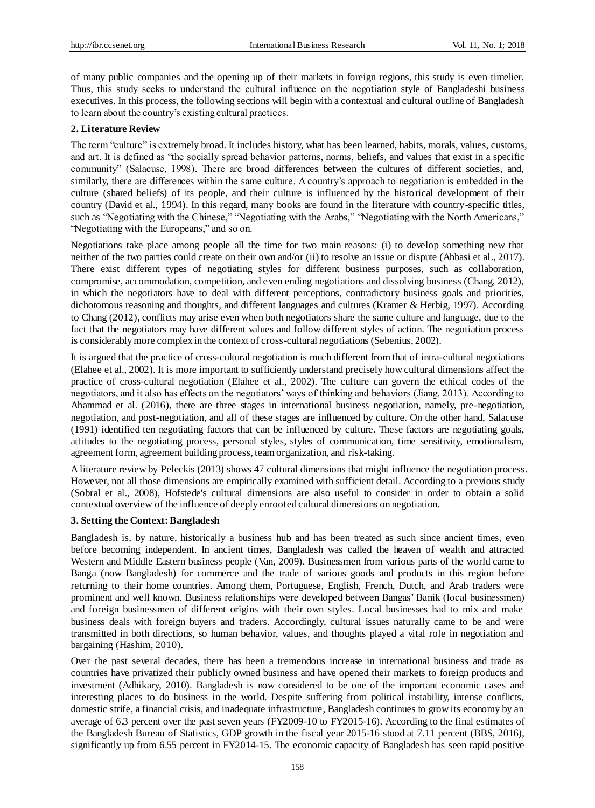of many public companies and the opening up of their markets in foreign regions, this study is even timelier. Thus, this study seeks to understand the cultural influence on the negotiation style of Bangladeshi business executives. In this process, the following sections will begin with a contextual and cultural outline of Bangladesh to learn about the country's existing cultural practices.

#### **2. Literature Review**

The term "culture" is extremely broad. It includes history, what has been learned, habits, morals, values, customs, and art. It is defined as "the socially spread behavior patterns, norms, beliefs, and values that exist in a specific community" (Salacuse, 1998). There are broad differences between the cultures of different societies, and, similarly, there are differences within the same culture. A country's approach to negotiation is embedded in the culture (shared beliefs) of its people, and their culture is influenced by the historical development of their country (David et al., 1994). In this regard, many books are found in the literature with country-specific titles, such as "Negotiating with the Chinese," "Negotiating with the Arabs," "Negotiating with the North Americans," "Negotiating with the Europeans," and so on.

Negotiations take place among people all the time for two main reasons: (i) to develop something new that neither of the two parties could create on their own and/or (ii) to resolve an issue or dispute (Abbasi et al., 2017). There exist different types of negotiating styles for different business purposes, such as collaboration, compromise, accommodation, competition, and even ending negotiations and dissolving business (Chang, 2012), in which the negotiators have to deal with different perceptions, contradictory business goals and priorities, dichotomous reasoning and thoughts, and different languages and cultures (Kramer & Herbig, 1997). According to Chang (2012), conflicts may arise even when both negotiators share the same culture and language, due to the fact that the negotiators may have different values and follow different styles of action. The negotiation process is considerably more complex in the context of cross-cultural negotiations (Sebenius, 2002).

It is argued that the practice of cross-cultural negotiation is much different from that of intra-cultural negotiations (Elahee et al., 2002). It is more important to sufficiently understand precisely how cultural dimensions affect the practice of cross-cultural negotiation (Elahee et al., 2002). The culture can govern the ethical codes of the negotiators, and it also has effects on the negotiators' ways of thinking and behaviors (Jiang, 2013). According to Ahammad et al. (2016), there are three stages in international business negotiation, namely, pre-negotiation, negotiation, and post-negotiation, and all of these stages are influenced by culture. On the other hand, Salacuse (1991) identified ten negotiating factors that can be influenced by culture. These factors are negotiating goals, attitudes to the negotiating process, personal styles, styles of communication, time sensitivity, emotionalism, agreement form, agreement building process, team organization, and risk-taking.

A literature review by Peleckis (2013) shows 47 cultural dimensions that might influence the negotiation process. However, not all those dimensions are empirically examined with sufficient detail. According to a previous study (Sobral et al., 2008), Hofstede's cultural dimensions are also useful to consider in order to obtain a solid contextual overview of the influence of deeply enrooted cultural dimensions on negotiation.

#### **3. Setting the Context: Bangladesh**

Bangladesh is, by nature, historically a business hub and has been treated as such since ancient times, even before becoming independent. In ancient times, Bangladesh was called the heaven of wealth and attracted Western and Middle Eastern business people (Van, 2009). Businessmen from various parts of the world came to Banga (now Bangladesh) for commerce and the trade of various goods and products in this region before returning to their home countries. Among them, Portuguese, English, French, Dutch, and Arab traders were prominent and well known. Business relationships were developed between Bangas' Banik (local businessmen) and foreign businessmen of different origins with their own styles. Local businesses had to mix and make business deals with foreign buyers and traders. Accordingly, cultural issues naturally came to be and were transmitted in both directions, so human behavior, values, and thoughts played a vital role in negotiation and bargaining (Hashim, 2010).

Over the past several decades, there has been a tremendous increase in international business and trade as countries have privatized their publicly owned business and have opened their markets to foreign products and investment (Adhikary, 2010). Bangladesh is now considered to be one of the important economic cases and interesting places to do business in the world. Despite suffering from political instability, intense conflicts, domestic strife, a financial crisis, and inadequate infrastructure, Bangladesh continues to grow its economy by an average of 6.3 percent over the past seven years (FY2009-10 to FY2015-16). According to the final estimates of the Bangladesh Bureau of Statistics, GDP growth in the fiscal year 2015-16 stood at 7.11 percent (BBS, 2016), significantly up from 6.55 percent in FY2014-15. The economic capacity of Bangladesh has seen rapid positive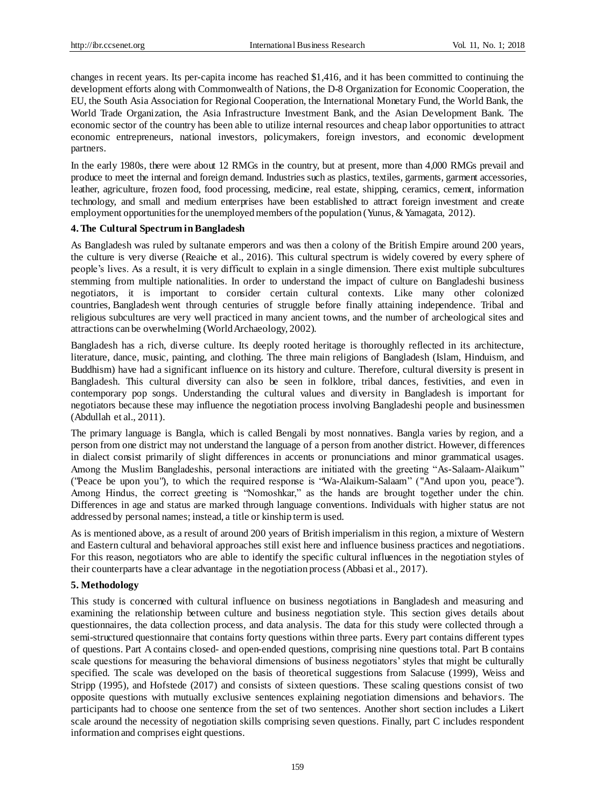changes in recent years. Its per-capita income has reached \$1,416, and it has been committed to continuing the development efforts along with [Commonwealth of Nations,](https://en.wikipedia.org/wiki/Commonwealth_of_Nations) th[e D-8 Organization for Economic Cooperation,](https://en.wikipedia.org/wiki/D-8_Organization_for_Economic_Cooperation) the EU, the South Asia Association for Regional Cooperation, the International Monetary Fund, the World Bank, the World Trade Organization, the Asia Infrastructure Investment Bank, and the Asian Development Bank. The economic sector of the country has been able to utilize internal resources and cheap labor opportunities to attract economic entrepreneurs, national investors, policymakers, foreign investors, and economic development partners.

In the early 1980s, there were about 12 RMGs in the country, but at present, more than 4,000 RMGs prevail and produce to meet the internal and foreign demand. Industries such as plastics, textiles, garments, garment accessories, leather, agriculture, frozen food, food processing, medicine, real estate, shipping, ceramics, cement, information technology, and small and medium enterprises have been established to attract foreign investment and create employment opportunities for the unemployed members of the population (Yunus, & Yamagata, 2012).

#### **4. The Cultural Spectrum in Bangladesh**

As Bangladesh was ruled by sultanate emperors and was then a colony of the British Empire around 200 years, the culture is very diverse (Reaiche et al., 2016). This cultural spectrum is widely covered by every sphere of people's lives. As a result, it is very difficult to explain in a single dimension. There exist multiple subcultures stemming from multiple nationalities. In order to understand the impact of culture on Bangladeshi business negotiators, it is important to consider certain cultural contexts. Like many other colonized countries, [Bangladesh](http://www.iexplore.com/experiences/festivals-events/bangladesh_celebrates_40_years_of_independence) went through centuries of struggle before finally attaining independence. Tribal and religious subcultures are very well practiced in many ancient towns, and the number of archeological sites and attractions can be overwhelming (World Archaeology, 2002).

Bangladesh has a rich, diverse culture. Its deeply rooted heritage is thoroughly reflected in its architecture, literature, dance, music, painting, and clothing. The three main religions of Bangladesh (Islam, Hinduism, and Buddhism) have had a significant influence on its history and culture. Therefore, cultural diversity is present in Bangladesh. This cultural diversity can also be seen in folklore, tribal dances, festivities, and even in contemporary pop songs. Understanding the cultural values and diversity in Bangladesh is important for negotiators because these may influence the negotiation process involving Bangladeshi people and businessmen (Abdullah et al., 2011).

The primary language is Bangla, which is called Bengali by most nonnatives. Bangla varies by region, and a person from one district may not understand the language of a person from another district. However, differences in dialect consist primarily of slight differences in accents or pronunciations and minor grammatical usages. Among the Muslim Bangladeshis, personal interactions are initiated with the greeting "As-Salaam-Alaikum" ("Peace be upon you"), to which the required response is "Wa-Alaikum-Salaam" ("And upon you, peace"). Among Hindus, the correct greeting is "Nomoshkar," as the hands are brought together under the chin. Differences in age and status are marked through language conventions. Individuals with higher status are not addressed by personal names; instead, a title or kinship term is used.

As is mentioned above, as a result of around 200 years of British imperialism in this region, a mixture of Western and Eastern cultural and behavioral approaches still exist here and influence business practices and negotiations. For this reason, negotiators who are able to identify the specific cultural influences in the negotiation styles of their counterparts have a clear advantage in the negotiation process (Abbasi et al., 2017).

#### **5. Methodology**

This study is concerned with cultural influence on business negotiations in Bangladesh and measuring and examining the relationship between culture and business negotiation style. This section gives details about questionnaires, the data collection process, and data analysis. The data for this study were collected through a semi-structured questionnaire that contains forty questions within three parts. Every part contains different types of questions. Part A contains closed- and open-ended questions, comprising nine questions total. Part B contains scale questions for measuring the behavioral dimensions of business negotiators' styles that might be culturally specified. The scale was developed on the basis of theoretical suggestions from Salacuse (1999), Weiss and Stripp (1995), and Hofstede (2017) and consists of sixteen questions. These scaling questions consist of two opposite questions with mutually exclusive sentences explaining negotiation dimensions and behaviors. The participants had to choose one sentence from the set of two sentences. Another short section includes a Likert scale around the necessity of negotiation skills comprising seven questions. Finally, part C includes respondent information and comprises eight questions.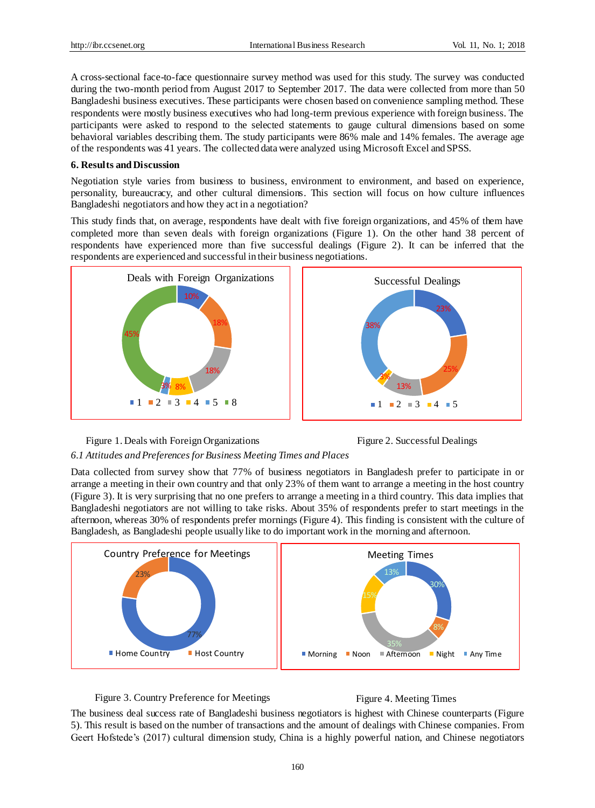A cross-sectional face-to-face questionnaire survey method was used for this study. The survey was conducted during the two-month period from August 2017 to September 2017. The data were collected from more than 50 Bangladeshi business executives. These participants were chosen based on convenience sampling method. These respondents were mostly business executives who had long-term previous experience with foreign business. The participants were asked to respond to the selected statements to gauge cultural dimensions based on some behavioral variables describing them. The study participants were 86% male and 14% females. The average age of the respondents was 41 years. The collected data were analyzed using Microsoft Excel and SPSS.

#### **6. Results and Discussion**

Negotiation style varies from business to business, environment to environment, and based on experience, personality, bureaucracy, and other cultural dimensions. This section will focus on how culture influences Bangladeshi negotiators and how they act in a negotiation?

This study finds that, on average, respondents have dealt with five foreign organizations, and 45% of them have completed more than seven deals with foreign organizations (Figure 1). On the other hand 38 percent of respondents have experienced more than five successful dealings (Figure 2). It can be inferred that the respondents are experienced and successful in their business negotiations.





Figure 1. Deals with Foreign Organizations Figure 2. Successful Dealings



#### *6.1 Attitudes and Preferences for Business Meeting Times and Places*

Data collected from survey show that 77% of business negotiators in Bangladesh prefer to participate in or arrange a meeting in their own country and that only 23% of them want to arrange a meeting in the host country (Figure 3). It is very surprising that no one prefers to arrange a meeting in a third country. This data implies that Bangladeshi negotiators are not willing to take risks. About 35% of respondents prefer to start meetings in the afternoon, whereas 30% of respondents prefer mornings (Figure 4). This finding is consistent with the culture of Bangladesh, as Bangladeshi people usually like to do important work in the morning and afternoon.



### Figure 3. Country Preference for Meetings Figure 4. Meeting Times

The business deal success rate of Bangladeshi business negotiators is highest with Chinese counterparts (Figure 5). This result is based on the number of transactions and the amount of dealings with Chinese companies. From Geert Hofstede's (2017) cultural dimension study, China is a highly powerful nation, and Chinese negotiators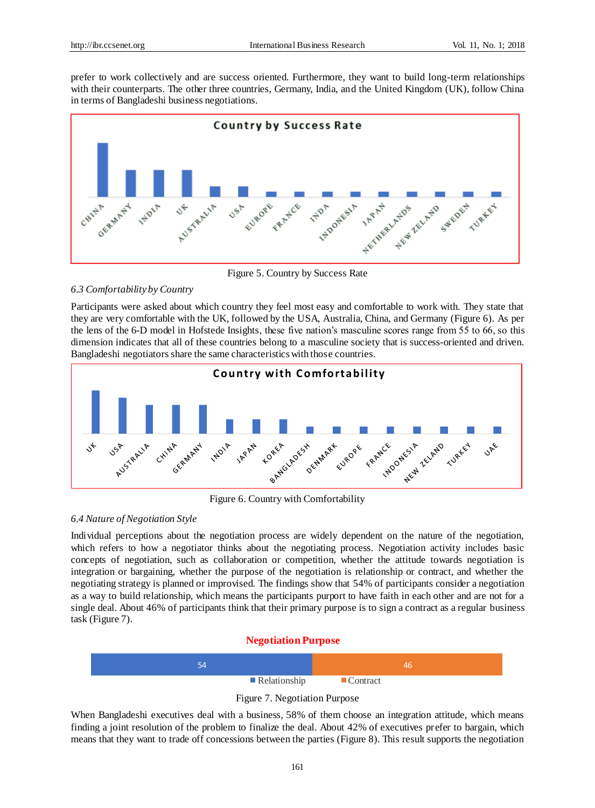prefer to work collectively and are success oriented. Furthermore, they want to build long-term relationships with their counterparts. The other three countries, Germany, India, and the United Kingdom (UK), follow China in terms of Bangladeshi business negotiations.



Figure 5. Country by Success Rate

#### *6.3 Comfortability by Country*

Participants were asked about which country they feel most easy and comfortable to work with. They state that they are very comfortable with the UK, followed by the USA, Australia, China, and Germany (Figure 6). As per the lens of the 6-D model in Hofstede Insights, these five nation's masculine scores range from 55 to 66, so this dimension indicates that all of these countries belong to a masculine society that is success-oriented and driven. Bangladeshi negotiators share the same characteristics with those countries.



Figure 6. Country with Comfortability

#### *6.4 Nature of Negotiation Style*

Individual perceptions about the negotiation process are widely dependent on the nature of the negotiation, which refers to how a negotiator thinks about the negotiating process. Negotiation activity includes basic concepts of negotiation, such as collaboration or competition, whether the attitude towards negotiation is integration or bargaining, whether the purpose of the negotiation is relationship or contract, and whether the negotiating strategy is planned or improvised. The findings show that 54% of participants consider a negotiation as a way to build relationship, which means the participants purport to have faith in each other and are not for a single deal. About 46% of participants think that their primary purpose is to sign a contract as a regular business task (Figure 7).

#### **Negotiation Purpose**



Figure 7. Negotiation Purpose

When Bangladeshi executives deal with a business, 58% of them choose an integration attitude, which means finding a joint resolution of the problem to finalize the deal. About 42% of executives prefer to bargain, which means that they want to trade off concessions between the parties (Figure 8). This result supports the negotiation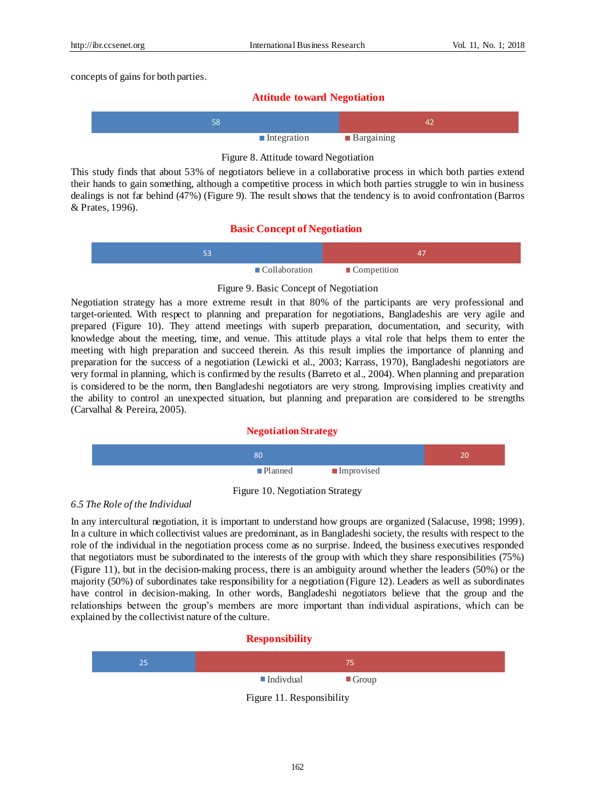concepts of gains for both parties.

#### **Attitude toward Negotiation**



#### Figure 8. Attitude toward Negotiation

This study finds that about 53% of negotiators believe in a collaborative process in which both parties extend their hands to gain something, although a competitive process in which both parties struggle to win in business dealings is not far behind (47%) (Figure 9). The result shows that the tendency is to avoid confrontation (Barros & Prates, 1996).

#### **Basic Concept of Negotiation**



#### Figure 9. Basic Concept of Negotiation

Negotiation strategy has a more extreme result in that 80% of the participants are very professional and target-oriented. With respect to planning and preparation for negotiations, Bangladeshis are very agile and prepared (Figure 10). They attend meetings with superb preparation, documentation, and security, with knowledge about the meeting, time, and venue. This attitude plays a vital role that helps them to enter the meeting with high preparation and succeed therein. As this result implies the importance of planning and preparation for the success of a negotiation (Lewicki et al., 2003; Karrass, 1970), Bangladeshi negotiators are very formal in planning, which is confirmed by the results (Barreto et al., 2004). When planning and preparation is considered to be the norm, then Bangladeshi negotiators are very strong. Improvising implies creativity and the ability to control an unexpected situation, but planning and preparation are considered to be strengths (Carvalhal & Pereira, 2005).



Figure 10. Negotiation Strategy

#### *6.5 The Role of the Individual*

In any intercultural negotiation, it is important to understand how groups are organized (Salacuse, 1998; 1999). In a culture in which collectivist values are predominant, as in Bangladeshi society, the results with respect to the role of the individual in the negotiation process come as no surprise. Indeed, the business executives responded that negotiators must be subordinated to the interests of the group with which they share responsibilities (75%) (Figure 11), but in the decision-making process, there is an ambiguity around whether the leaders (50%) or the majority (50%) of subordinates take responsibility for a negotiation (Figure 12). Leaders as well as subordinates have control in decision-making. In other words, Bangladeshi negotiators believe that the group and the relationships between the group's members are more important than individual aspirations, which can be explained by the collectivist nature of the culture.

#### **Responsibility**



Figure 11. Responsibility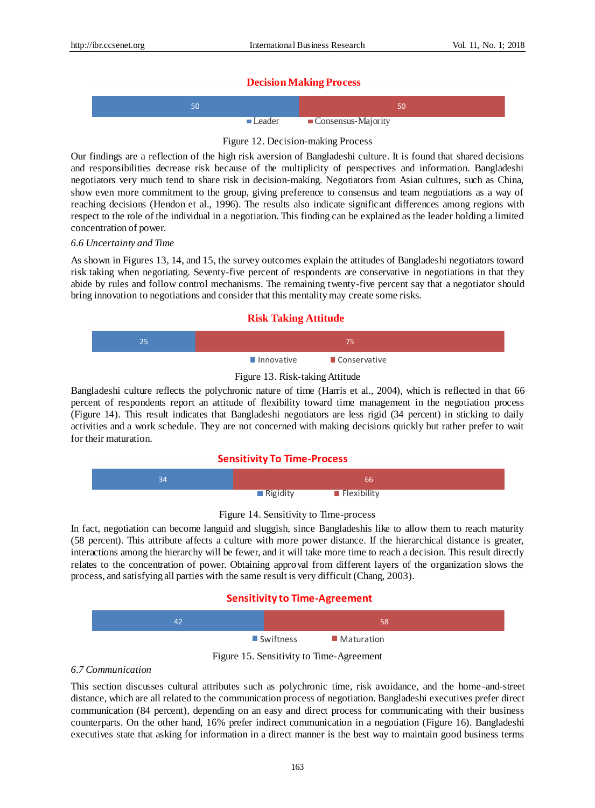#### **Decision Making Process**





Our findings are a reflection of the high risk aversion of Bangladeshi culture. It is found that shared decisions and responsibilities decrease risk because of the multiplicity of perspectives and information. Bangladeshi negotiators very much tend to share risk in decision-making. Negotiators from Asian cultures, such as China, show even more commitment to the group, giving preference to consensus and team negotiations as a way of reaching decisions (Hendon et al., 1996). The results also indicate significant differences among regions with respect to the role of the individual in a negotiation. This finding can be explained as the leader holding a limited concentration of power.

#### *6.6 Uncertainty and Time*

As shown in Figures 13, 14, and 15, the survey outcomes explain the attitudes of Bangladeshi negotiators toward risk taking when negotiating. Seventy-five percent of respondents are conservative in negotiations in that they abide by rules and follow control mechanisms. The remaining twenty-five percent say that a negotiator should bring innovation to negotiations and consider that this mentality may create some risks.

# **Risk Taking Attitude**





Bangladeshi culture reflects the polychronic nature of time (Harris et al., 2004), which is reflected in that 66 percent of respondents report an attitude of flexibility toward time management in the negotiation process (Figure 14). This result indicates that Bangladeshi negotiators are less rigid (34 percent) in sticking to daily activities and a work schedule. They are not concerned with making decisions quickly but rather prefer to wait for their maturation.





In fact, negotiation can become languid and sluggish, since Bangladeshis like to allow them to reach maturity (58 percent). This attribute affects a culture with more power distance. If the hierarchical distance is greater, interactions among the hierarchy will be fewer, and it will take more time to reach a decision. This result directly relates to the concentration of power. Obtaining approval from different layers of the organization slows the process, and satisfying all parties with the same result is very difficult (Chang, 2003).

#### **Sensitivity to Time-Agreement**





#### *6.7 Communication*

This section discusses cultural attributes such as polychronic time, risk avoidance, and the home-and-street distance, which are all related to the communication process of negotiation. Bangladeshi executives prefer direct communication (84 percent), depending on an easy and direct process for communicating with their business counterparts. On the other hand, 16% prefer indirect communication in a negotiation (Figure 16). Bangladeshi executives state that asking for information in a direct manner is the best way to maintain good business terms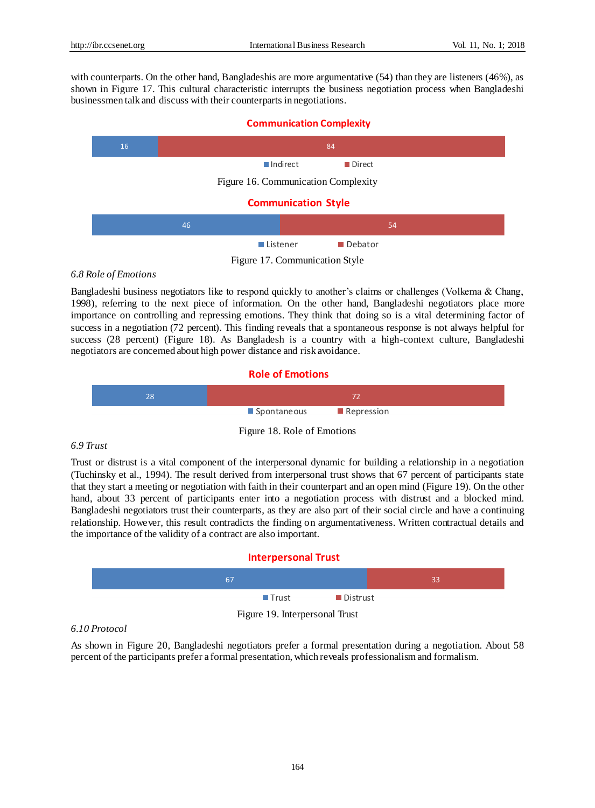with counterparts. On the other hand, Bangladeshis are more argumentative (54) than they are listeners (46%), as shown in Figure 17. This cultural characteristic interrupts the business negotiation process when Bangladeshi businessmen talk and discuss with their counterparts in negotiations.





#### *6.8 Role of Emotions*

Bangladeshi business negotiators like to respond quickly to another's claims or challenges (Volkema & Chang, 1998), referring to the next piece of information. On the other hand, Bangladeshi negotiators place more importance on controlling and repressing emotions. They think that doing so is a vital determining factor of success in a negotiation (72 percent). This finding reveals that a spontaneous response is not always helpful for success (28 percent) (Figure 18). As Bangladesh is a country with a high-context culture, Bangladeshi negotiators are concerned about high power distance and risk avoidance.



Figure 18. Role of Emotions

#### *6.9 Trust*

Trust or distrust is a vital component of the interpersonal dynamic for building a relationship in a negotiation (Tuchinsky et al., 1994). The result derived from interpersonal trust shows that 67 percent of participants state that they start a meeting or negotiation with faith in their counterpart and an open mind (Figure 19). On the other hand, about 33 percent of participants enter into a negotiation process with distrust and a blocked mind. Bangladeshi negotiators trust their counterparts, as they are also part of their social circle and have a continuing relationship. However, this result contradicts the finding on argumentativeness. Written contractual details and the importance of the validity of a contract are also important.





#### *6.10 Protocol*

As shown in Figure 20, Bangladeshi negotiators prefer a formal presentation during a negotiation. About 58 percent of the participants prefer a formal presentation, which reveals professionalism and formalism.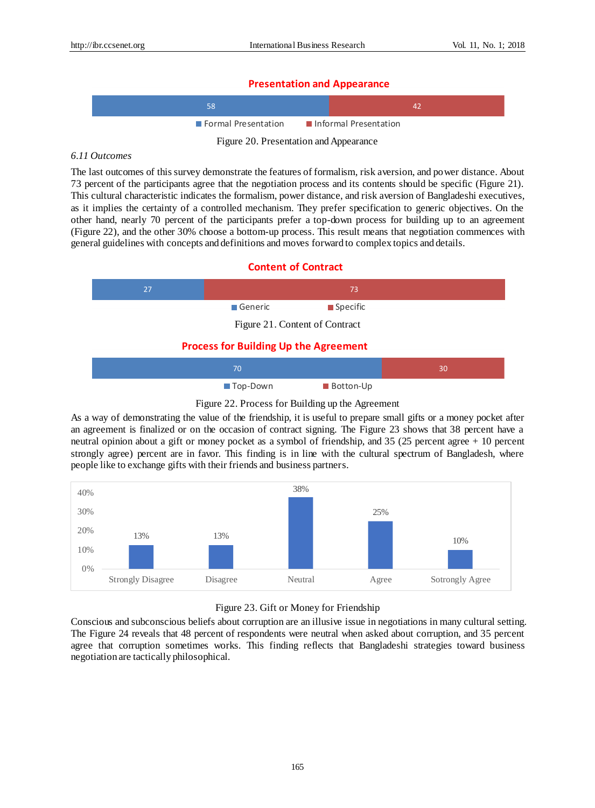#### **Presentation and Appearance**





#### *6.11 Outcomes*

The last outcomes of this survey demonstrate the features of formalism, risk aversion, and power distance. About 73 percent of the participants agree that the negotiation process and its contents should be specific (Figure 21). This cultural characteristic indicates the formalism, power distance, and risk aversion of Bangladeshi executives, as it implies the certainty of a controlled mechanism. They prefer specification to generic objectives. On the other hand, nearly 70 percent of the participants prefer a top-down process for building up to an agreement (Figure 22), and the other 30% choose a bottom-up process. This result means that negotiation commences with general guidelines with concepts and definitions and moves forward to complex topics and details.

#### **Content of Contract**



Figure 22. Process for Building up the Agreement

As a way of demonstrating the value of the friendship, it is useful to prepare small gifts or a money pocket after an agreement is finalized or on the occasion of contract signing. The Figure 23 shows that 38 percent have a neutral opinion about a gift or money pocket as a symbol of friendship, and 35 (25 percent agree + 10 percent strongly agree) percent are in favor. This finding is in line with the cultural spectrum of Bangladesh, where people like to exchange gifts with their friends and business partners.



### Figure 23. Gift or Money for Friendship

Conscious and subconscious beliefs about corruption are an illusive issue in negotiations in many cultural setting. The Figure 24 reveals that 48 percent of respondents were neutral when asked about corruption, and 35 percent agree that corruption sometimes works. This finding reflects that Bangladeshi strategies toward business negotiation are tactically philosophical.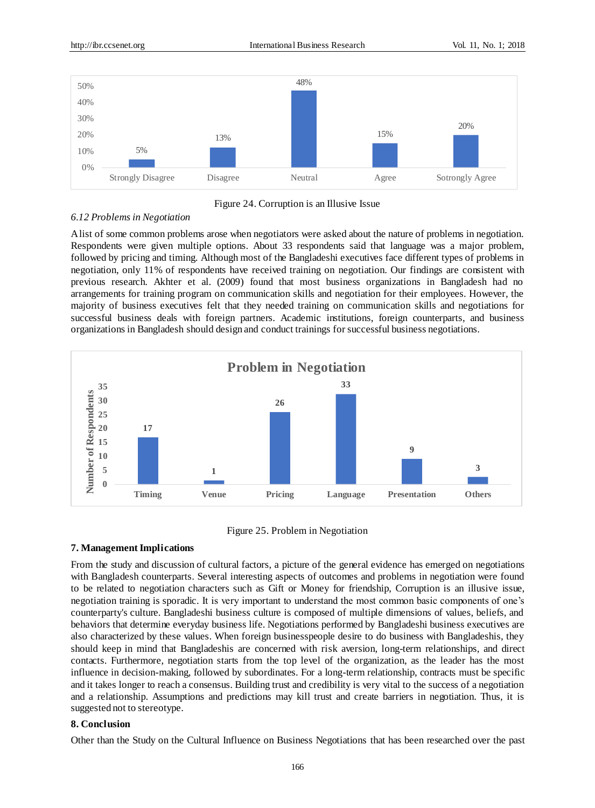



#### *6.12 Problems in Negotiation*

A list of some common problems arose when negotiators were asked about the nature of problems in negotiation. Respondents were given multiple options. About 33 respondents said that language was a major problem, followed by pricing and timing. Although most of the Bangladeshi executives face different types of problems in negotiation, only 11% of respondents have received training on negotiation. Our findings are consistent with previous research. Akhter et al. (2009) found that most business organizations in Bangladesh had no arrangements for training program on communication skills and negotiation for their employees. However, the majority of business executives felt that they needed training on communication skills and negotiations for successful business deals with foreign partners. Academic institutions, foreign counterparts, and business organizations in Bangladesh should design and conduct trainings for successful business negotiations.





#### **7. Management Implications**

From the study and discussion of cultural factors, a picture of the general evidence has emerged on negotiations with Bangladesh counterparts. Several interesting aspects of outcomes and problems in negotiation were found to be related to negotiation characters such as Gift or Money for friendship, Corruption is an illusive issue, negotiation training is sporadic. It is very important to understand the most common basic components of one's counterparty's culture. Bangladeshi business culture is composed of multiple dimensions of values, beliefs, and behaviors that determine everyday business life. Negotiations performed by Bangladeshi business executives are also characterized by these values. When foreign businesspeople desire to do business with Bangladeshis, they should keep in mind that Bangladeshis are concerned with risk aversion, long-term relationships, and direct contacts. Furthermore, negotiation starts from the top level of the organization, as the leader has the most influence in decision-making, followed by subordinates. For a long-term relationship, contracts must be specific and it takes longer to reach a consensus. Building trust and credibility is very vital to the success of a negotiation and a relationship. Assumptions and predictions may kill trust and create barriers in negotiation. Thus, it is suggested not to stereotype.

#### **8. Conclusion**

Other than the Study on the Cultural Influence on Business Negotiations that has been researched over the past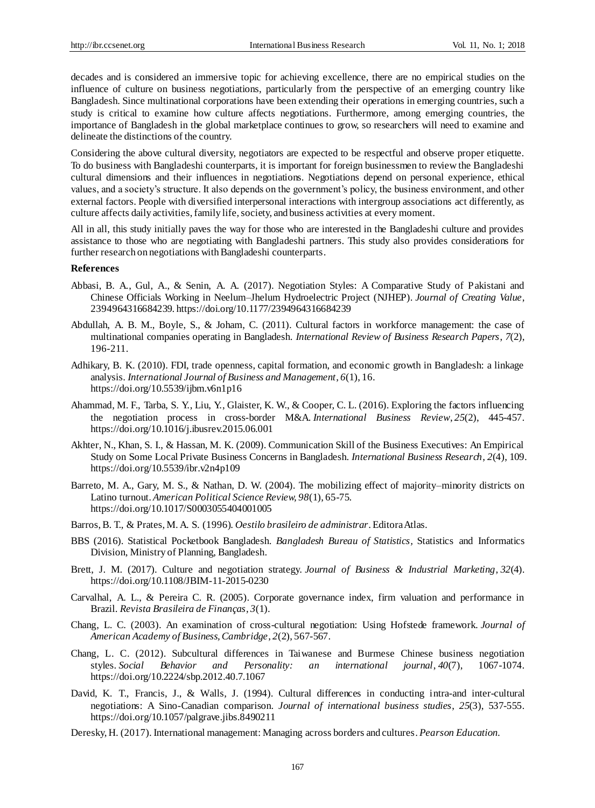decades and is considered an immersive topic for achieving excellence, there are no empirical studies on the influence of culture on business negotiations, particularly from the perspective of an emerging country like Bangladesh. Since multinational corporations have been extending their operations in emerging countries, such a study is critical to examine how culture affects negotiations. Furthermore, among emerging countries, the importance of Bangladesh in the global marketplace continues to grow, so researchers will need to examine and delineate the distinctions of the country.

Considering the above cultural diversity, negotiators are expected to be respectful and observe proper etiquette. To do business with Bangladeshi counterparts, it is important for foreign businessmen to review the Bangladeshi cultural dimensions and their influences in negotiations. Negotiations depend on personal experience, ethical values, and a society's structure. It also depends on the government's policy, the business environment, and other external factors. People with diversified interpersonal interactions with intergroup associations act differently, as culture affects daily activities, family life, society, and business activities at every moment.

All in all, this study initially paves the way for those who are interested in the Bangladeshi culture and provides assistance to those who are negotiating with Bangladeshi partners. This study also provides considerations for further research on negotiations with Bangladeshi counterparts.

#### **References**

- Abbasi, B. A., Gul, A., & Senin, A. A. (2017). Negotiation Styles: A Comparative Study of Pakistani and Chinese Officials Working in Neelum–Jhelum Hydroelectric Project (NJHEP). *Journal of Creating Value*, 2394964316684239. https://doi.org/10.1177/2394964316684239
- Abdullah, A. B. M., Boyle, S., & Joham, C. (2011). Cultural factors in workforce management: the case of multinational companies operating in Bangladesh. *International Review of Business Research Papers*, *7*(2), 196-211.
- Adhikary, B. K. (2010). FDI, trade openness, capital formation, and economic growth in Bangladesh: a linkage analysis. *International Journal of Business and Management*, *6*(1), 16. https://doi.org/10.5539/ijbm.v6n1p16
- Ahammad, M. F., Tarba, S. Y., Liu, Y., Glaister, K. W., & Cooper, C. L. (2016). Exploring the factors influencing the negotiation process in cross-border M&A. *International Business Review*, *25*(2), 445-457. https://doi.org/10.1016/j.ibusrev.2015.06.001
- Akhter, N., Khan, S. I., & Hassan, M. K. (2009). Communication Skill of the Business Executives: An Empirical Study on Some Local Private Business Concerns in Bangladesh. *International Business Research*, *2*(4), 109. https://doi.org/10.5539/ibr.v2n4p109
- Barreto, M. A., Gary, M. S., & Nathan, D. W. (2004). The mobilizing effect of majority–minority districts on Latino turnout. *American Political Science Review, 98*(1), 65-75. https://doi.org/10.1017/S0003055404001005
- Barros, B. T., & Prates, M. A. S. (1996). *Oestilo brasileiro de administrar*. Editora Atlas.
- BBS (2016). Statistical Pocketbook Bangladesh. *Bangladesh Bureau of Statistics,* Statistics and Informatics Division, Ministry of Planning, Bangladesh.
- Brett, J. M. (2017). Culture and negotiation strategy. *Journal of Business & Industrial Marketing*, *32*(4). https://doi.org/10.1108/JBIM-11-2015-0230
- Carvalhal, A. L., & Pereira C. R. (2005). Corporate governance index, firm valuation and performance in Brazil. *Revista Brasileira de Finanças*, *3*(1).
- Chang, L. C. (2003). An examination of cross-cultural negotiation: Using Hofstede framework. *Journal of American Academy of Business, Cambridge*, *2*(2), 567-567.
- Chang, L. C. (2012). Subcultural differences in Taiwanese and Burmese Chinese business negotiation styles. *Social Behavior and Personality: an international journal*, *40*(7), 1067-1074. https://doi.org/10.2224/sbp.2012.40.7.1067
- David, K. T., Francis, J., & Walls, J. (1994). Cultural differences in conducting intra-and inter-cultural negotiations: A Sino-Canadian comparison. *Journal of international business studies*, *25*(3), 537-555. https://doi.org/10.1057/palgrave.jibs.8490211
- Deresky, H. (2017). International management: Managing across borders and cultures. *Pearson Education*.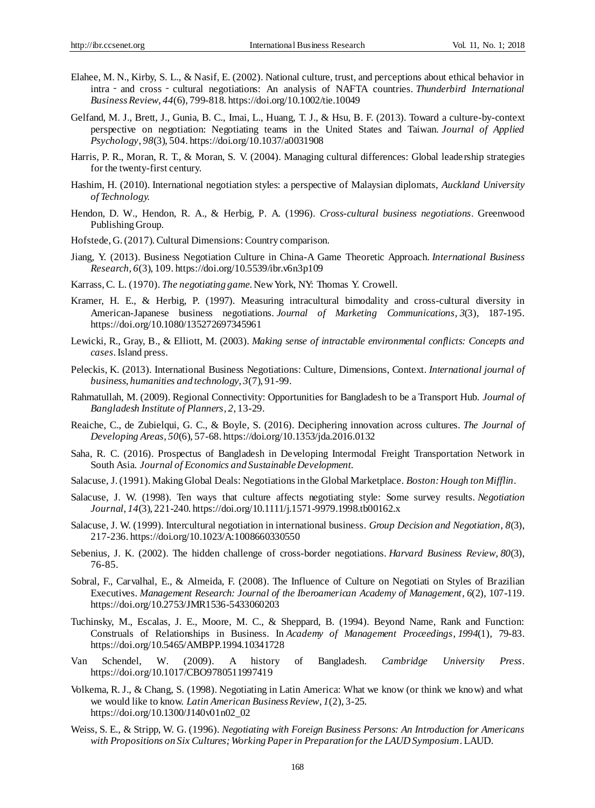- Elahee, M. N., Kirby, S. L., & Nasif, E. (2002). National culture, trust, and perceptions about ethical behavior in intra‐and cross‐cultural negotiations: An analysis of NAFTA countries. *Thunderbird International Business Review*, *44*(6), 799-818. https://doi.org/10.1002/tie.10049
- Gelfand, M. J., Brett, J., Gunia, B. C., Imai, L., Huang, T. J., & Hsu, B. F. (2013). Toward a culture-by-context perspective on negotiation: Negotiating teams in the United States and Taiwan. *Journal of Applied Psychology*, *98*(3), 504. https://doi.org/10.1037/a0031908
- Harris, P. R., Moran, R. T., & Moran, S. V. (2004). Managing cultural differences: Global leade rship strategies for the twenty-first century.
- Hashim, H. (2010). International negotiation styles: a perspective of Malaysian diplomats, *Auckland University of Technology.*
- Hendon, D. W., Hendon, R. A., & Herbig, P. A. (1996). *Cross-cultural business negotiations*. Greenwood Publishing Group.
- Hofstede, G. (2017). Cultural Dimensions: Country comparison.
- Jiang, Y. (2013). Business Negotiation Culture in China-A Game Theoretic Approach. *International Business Research*, *6*(3), 109. https://doi.org/10.5539/ibr.v6n3p109
- Karrass, C. L. (1970). *The negotiating game*. New York, NY: Thomas Y. Crowell.
- Kramer, H. E., & Herbig, P. (1997). Measuring intracultural bimodality and cross-cultural diversity in American-Japanese business negotiations. *Journal of Marketing Communications*, *3*(3), 187-195. https://doi.org/10.1080/135272697345961
- Lewicki, R., Gray, B., & Elliott, M. (2003). *Making sense of intractable environmental conflicts: Concepts and cases*. Island press.
- Peleckis, K. (2013). International Business Negotiations: Culture, Dimensions, Context. *International journal of business, humanities and technology*, *3*(7), 91-99.
- Rahmatullah, M. (2009). Regional Connectivity: Opportunities for Bangladesh to be a Transport Hub. *Journal of Bangladesh Institute of Planners, 2,* 13-29.
- Reaiche, C., de Zubielqui, G. C., & Boyle, S. (2016). Deciphering innovation across cultures. *The Journal of Developing Areas*, *50*(6), 57-68. https://doi.org/10.1353/jda.2016.0132
- Saha, R. C. (2016). Prospectus of Bangladesh in Developing Intermodal Freight Transportation Network in South Asia. *Journal of Economics and Sustainable Development.*
- Salacuse, J. (1991). Making Global Deals: Negotiations in the Global Marketplace. *Boston: Hough ton Mifflin*.
- Salacuse, J. W. (1998). Ten ways that culture affects negotiating style: Some survey results. *Negotiation Journal*, *14*(3), 221-240. https://doi.org/10.1111/j.1571-9979.1998.tb00162.x
- Salacuse, J. W. (1999). Intercultural negotiation in international business. *Group Decision and Negotiation*, *8*(3), 217-236. https://doi.org/10.1023/A:1008660330550
- Sebenius, J. K. (2002). The hidden challenge of cross-border negotiations. *Harvard Business Review*, *80*(3), 76-85.
- Sobral, F., Carvalhal, E., & Almeida, F. (2008). The Influence of Culture on Negotiati on Styles of Brazilian Executives. *Management Research: Journal of the Iberoamerican Academy of Management*, *6*(2), 107-119. https://doi.org/10.2753/JMR1536-5433060203
- Tuchinsky, M., Escalas, J. E., Moore, M. C., & Sheppard, B. (1994). Beyond Name, Rank and Function: Construals of Relationships in Business. In *Academy of Management Proceedings, 1994*(1), 79-83. https://doi.org/10.5465/AMBPP.1994.10341728
- Van Schendel, W. (2009). A history of Bangladesh. *Cambridge University Press*. https://doi.org/10.1017/CBO9780511997419
- Volkema, R. J., & Chang, S. (1998). Negotiating in Latin America: What we know (or think we know) and what we would like to know. *Latin American Business Review*, *1*(2), 3-25. https://doi.org/10.1300/J140v01n02\_02
- Weiss, S. E., & Stripp, W. G. (1996). *Negotiating with Foreign Business Persons: An Introduction for Americans with Propositions on Six Cultures; Working Paper in Preparation for the LAUD Symposium*. LAUD.